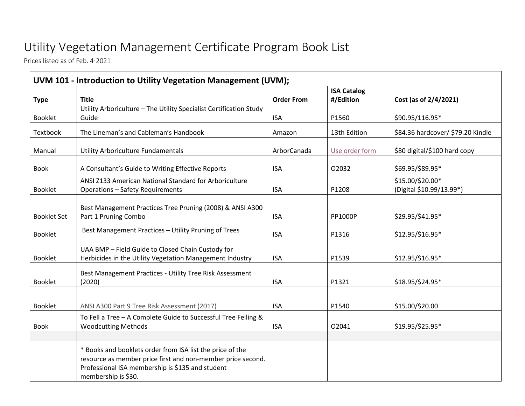## Utility Vegetation Management Certificate Program Book List

Prices listed as of Feb. 4<sup>2021</sup>

| <b>Type</b>        | <b>Title</b>                                                                                                                                                                                        | <b>Order From</b> | <b>ISA Catalog</b><br>#/Edition | Cost (as of 2/4/2021)                        |
|--------------------|-----------------------------------------------------------------------------------------------------------------------------------------------------------------------------------------------------|-------------------|---------------------------------|----------------------------------------------|
|                    | Utility Arboriculture - The Utility Specialist Certification Study                                                                                                                                  |                   |                                 |                                              |
| <b>Booklet</b>     | Guide                                                                                                                                                                                               | <b>ISA</b>        | P1560                           | \$90.95/116.95*                              |
| Textbook           | The Lineman's and Cableman's Handbook                                                                                                                                                               | Amazon            | 13th Edition                    | \$84.36 hardcover/ \$79.20 Kindle            |
| Manual             | Utility Arboriculture Fundamentals                                                                                                                                                                  | ArborCanada       | Use order form                  | \$80 digital/\$100 hard copy                 |
| <b>Book</b>        | A Consultant's Guide to Writing Effective Reports                                                                                                                                                   | <b>ISA</b>        | 02032                           | \$69.95/\$89.95*                             |
| <b>Booklet</b>     | ANSI Z133 American National Standard for Arboriculture<br><b>Operations - Safety Requirements</b>                                                                                                   | <b>ISA</b>        | P1208                           | \$15.00/\$20.00*<br>(Digital \$10.99/13.99*) |
| <b>Booklet Set</b> | Best Management Practices Tree Pruning (2008) & ANSI A300<br>Part 1 Pruning Combo                                                                                                                   | <b>ISA</b>        | <b>PP1000P</b>                  | \$29.95/\$41.95*                             |
| <b>Booklet</b>     | Best Management Practices - Utility Pruning of Trees                                                                                                                                                | <b>ISA</b>        | P1316                           | \$12.95/\$16.95*                             |
| <b>Booklet</b>     | UAA BMP - Field Guide to Closed Chain Custody for<br>Herbicides in the Utility Vegetation Management Industry                                                                                       | <b>ISA</b>        | P1539                           | \$12.95/\$16.95*                             |
| Booklet            | Best Management Practices - Utility Tree Risk Assessment<br>(2020)                                                                                                                                  | <b>ISA</b>        | P1321                           | \$18.95/\$24.95*                             |
| Booklet            | ANSI A300 Part 9 Tree Risk Assessment (2017)                                                                                                                                                        | <b>ISA</b>        | P1540                           | \$15.00/\$20.00                              |
| <b>Book</b>        | To Fell a Tree - A Complete Guide to Successful Tree Felling &<br><b>Woodcutting Methods</b>                                                                                                        | <b>ISA</b>        | 02041                           | \$19.95/\$25.95*                             |
|                    | * Books and booklets order from ISA list the price of the<br>resource as member price first and non-member price second.<br>Professional ISA membership is \$135 and student<br>membership is \$30. |                   |                                 |                                              |